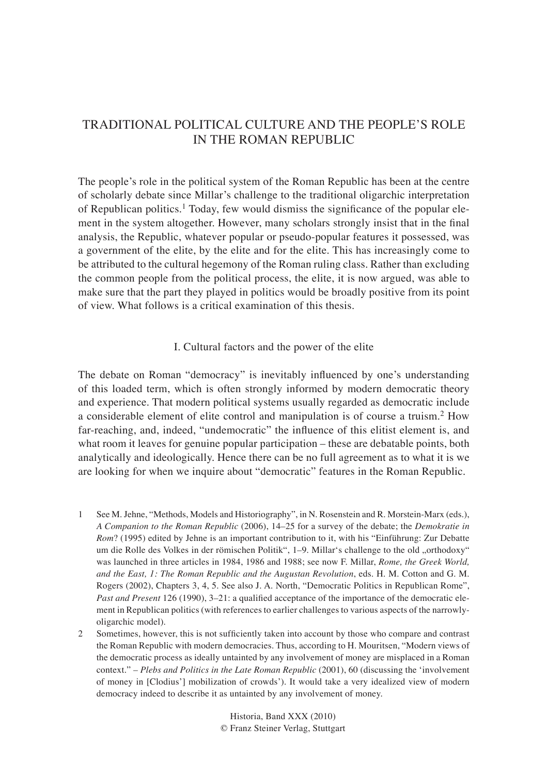# TRADITIONAL POLITICAL CULTURE AND THE PEOPLE'S ROLE IN THE ROMAN REPUBLIC

The people's role in the political system of the Roman Republic has been at the centre of scholarly debate since Millar's challenge to the traditional oligarchic interpretation of Republican politics.<sup>1</sup> Today, few would dismiss the significance of the popular element in the system altogether. However, many scholars strongly insist that in the final analysis, the Republic, whatever popular or pseudo-popular features it possessed, was a government of the elite, by the elite and for the elite. This has increasingly come to be attributed to the cultural hegemony of the Roman ruling class. Rather than excluding the common people from the political process, the elite, it is now argued, was able to make sure that the part they played in politics would be broadly positive from its point of view. What follows is a critical examination of this thesis.

## I. Cultural factors and the power of the elite

The debate on Roman "democracy" is inevitably influenced by one's understanding of this loaded term, which is often strongly informed by modern democratic theory and experience. That modern political systems usually regarded as democratic include a considerable element of elite control and manipulation is of course a truism.2 How far-reaching, and, indeed, "undemocratic" the influence of this elitist element is, and what room it leaves for genuine popular participation – these are debatable points, both analytically and ideologically. Hence there can be no full agreement as to what it is we are looking for when we inquire about "democratic" features in the Roman Republic.

- 1 See M. Jehne, "Methods, Models and Historiography", in N. Rosenstein and R. Morstein-Marx (eds.), *A Companion to the Roman Republic* (2006), 14–25 for a survey of the debate; the *Demokratie in Rom*? (1995) edited by Jehne is an important contribution to it, with his "Einführung: Zur Debatte um die Rolle des Volkes in der römischen Politik", 1–9. Millar's challenge to the old "orthodoxy" was launched in three articles in 1984, 1986 and 1988; see now F. Millar, *Rome, the Greek World, and the East, 1: The Roman Republic and the Augustan Revolution*, eds. H. M. Cotton and G. M. Rogers (2002), Chapters 3, 4, 5. See also J. A. North, "Democratic Politics in Republican Rome", *Past and Present* 126 (1990), 3–21: a qualified acceptance of the importance of the democratic element in Republican politics (with references to earlier challenges to various aspects of the narrowlyoligarchic model).
- 2 Sometimes, however, this is not sufficiently taken into account by those who compare and contrast the Roman Republic with modern democracies. Thus, according to H. Mouritsen, "Modern views of the democratic process as ideally untainted by any involvement of money are misplaced in a Roman context." – *Plebs and Politics in the Late Roman Republic* (2001), 60 (discussing the ʻinvolvement of money in [Clodius'] mobilization of crowds'). It would take a very idealized view of modern democracy indeed to describe it as untainted by any involvement of money.

Historia, Band XXX (2010) © Franz Steiner Verlag, Stuttgart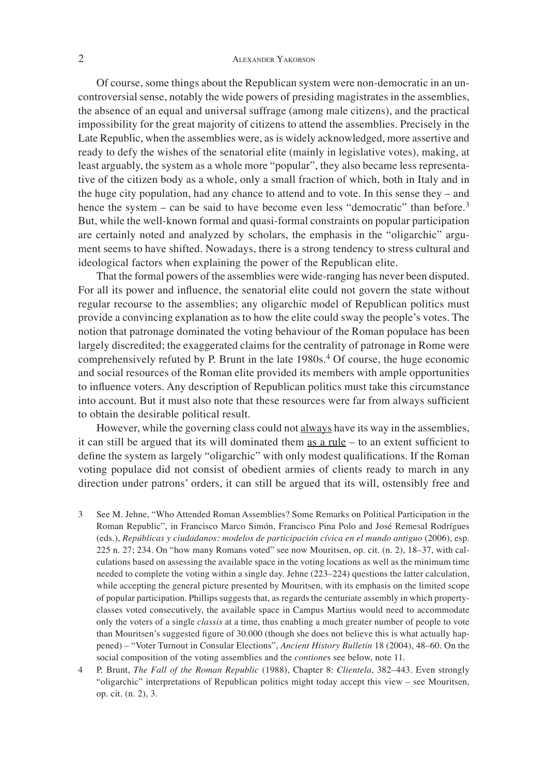Of course, some things about the Republican system were non-democratic in an uncontroversial sense, notably the wide powers of presiding magistrates in the assemblies, the absence of an equal and universal suffrage (among male citizens), and the practical impossibility for the great majority of citizens to attend the assemblies. Precisely in the Late Republic, when the assemblies were, as is widely acknowledged, more assertive and ready to defy the wishes of the senatorial elite (mainly in legislative votes), making, at least arguably, the system as a whole more "popular", they also became less representative of the citizen body as a whole, only a small fraction of which, both in Italy and in the huge city population, had any chance to attend and to vote. In this sense they – and hence the system – can be said to have become even less "democratic" than before.<sup>3</sup> But, while the well-known formal and quasi-formal constraints on popular participation are certainly noted and analyzed by scholars, the emphasis in the "oligarchic" argument seems to have shifted. Nowadays, there is a strong tendency to stress cultural and ideological factors when explaining the power of the Republican elite.

That the formal powers of the assemblies were wide-ranging has never been disputed. For all its power and influence, the senatorial elite could not govern the state without regular recourse to the assemblies; any oligarchic model of Republican politics must provide a convincing explanation as to how the elite could sway the people's votes. The notion that patronage dominated the voting behaviour of the Roman populace has been largely discredited; the exaggerated claims for the centrality of patronage in Rome were comprehensively refuted by P. Brunt in the late 1980s.<sup>4</sup> Of course, the huge economic and social resources of the Roman elite provided its members with ample opportunities to influence voters. Any description of Republican politics must take this circumstance into account. But it must also note that these resources were far from always sufficient to obtain the desirable political result.

However, while the governing class could not always have its way in the assemblies, it can still be argued that its will dominated them as a rule  $-$  to an extent sufficient to define the system as largely "oligarchic" with only modest qualifications. If the Roman voting populace did not consist of obedient armies of clients ready to march in any direction under patrons' orders, it can still be argued that its will, ostensibly free and

- 3 See M. Jehne, "Who Attended Roman Assemblies? Some Remarks on Political Participation in the Roman Republic", in Francisco Marco Simón, Francisco Pina Polo and José Remesal Rodrígues (eds.), *Repúblicas y ciudadanos: modelos de participación cívica en el mundo antiguo* (2006), esp. 225 n. 27; 234. On "how many Romans voted" see now Mouritsen, op. cit. (n. 2), 18–37, with calculations based on assessing the available space in the voting locations as well as the minimum time needed to complete the voting within a single day. Jehne (223–224) questions the latter calculation, while accepting the general picture presented by Mouritsen, with its emphasis on the limited scope of popular participation. Phillips suggests that, as regards the centuriate assembly in which propertyclasses voted consecutively, the available space in Campus Martius would need to accommodate only the voters of a single *classis* at a time, thus enabling a much greater number of people to vote than Mouritsen's suggested figure of 30.000 (though she does not believe this is what actually happened) – "Voter Turnout in Consular Elections", *Ancient History Bulletin* 18 (2004), 48–60. On the social composition of the voting assemblies and the *contione*s see below, note 11.
- 4 P. Brunt, *The Fall of the Roman Republic* (1988), Chapter 8: *Clientela*, 382–443. Even strongly "oligarchic" interpretations of Republican politics might today accept this view – see Mouritsen, op. cit. (n. 2), 3.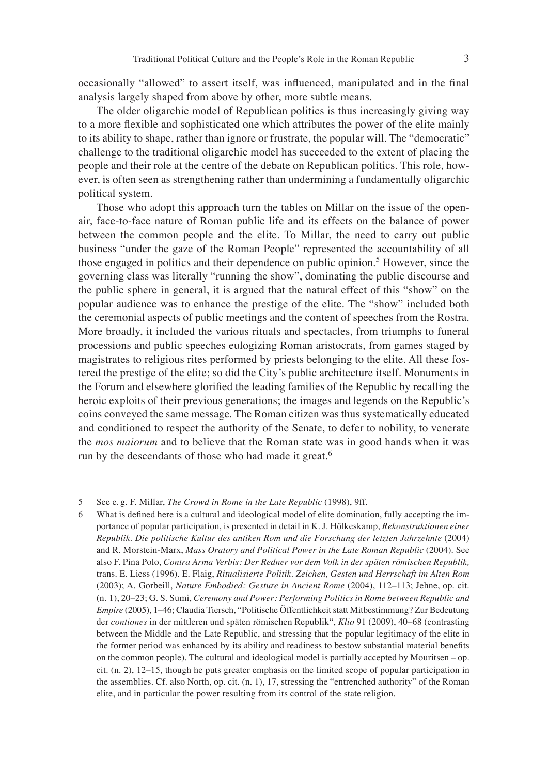occasionally "allowed" to assert itself, was influenced, manipulated and in the final analysis largely shaped from above by other, more subtle means.

The older oligarchic model of Republican politics is thus increasingly giving way to a more flexible and sophisticated one which attributes the power of the elite mainly to its ability to shape, rather than ignore or frustrate, the popular will. The "democratic" challenge to the traditional oligarchic model has succeeded to the extent of placing the people and their role at the centre of the debate on Republican politics. This role, however, is often seen as strengthening rather than undermining a fundamentally oligarchic political system.

Those who adopt this approach turn the tables on Millar on the issue of the openair, face-to-face nature of Roman public life and its effects on the balance of power between the common people and the elite. To Millar, the need to carry out public business "under the gaze of the Roman People" represented the accountability of all those engaged in politics and their dependence on public opinion.<sup>5</sup> However, since the governing class was literally "running the show", dominating the public discourse and the public sphere in general, it is argued that the natural effect of this "show" on the popular audience was to enhance the prestige of the elite. The "show" included both the ceremonial aspects of public meetings and the content of speeches from the Rostra. More broadly, it included the various rituals and spectacles, from triumphs to funeral processions and public speeches eulogizing Roman aristocrats, from games staged by magistrates to religious rites performed by priests belonging to the elite. All these fostered the prestige of the elite; so did the City's public architecture itself. Monuments in the Forum and elsewhere glorified the leading families of the Republic by recalling the heroic exploits of their previous generations; the images and legends on the Republic's coins conveyed the same message. The Roman citizen was thus systematically educated and conditioned to respect the authority of the Senate, to defer to nobility, to venerate the *mos maiorum* and to believe that the Roman state was in good hands when it was run by the descendants of those who had made it great.<sup>6</sup>

<sup>5</sup> See e. g. F. Millar, *The Crowd in Rome in the Late Republic* (1998), 9ff.

<sup>6</sup> What is defined here is a cultural and ideological model of elite domination, fully accepting the importance of popular participation, is presented in detail in K. J. Hölkeskamp, *Rekonstruktionen einer Republik. Die politische Kultur des antiken Rom und die Forschung der letzten Jahrzehnte* (2004) and R. Morstein-Marx, *Mass Oratory and Political Power in the Late Roman Republic* (2004). See also F. Pina Polo, *Contra Arma Verbis: Der Redner vor dem Volk in der späten römischen Republik,* trans. E. Liess (1996). E. Flaig, *Ritualisierte Politik. Zeichen, Gesten und Herrschaft im Alten Rom* (2003); A. Gorbeill, *Nature Embodied: Gesture in Ancient Rome* (2004), 112–113; Jehne, op. cit. (n. 1), 20–23; G. S. Sumi, *Ceremony and Power: Performing Politics in Rome between Republic and Empire* (2005), 1–46; Claudia Tiersch, "Politische Öffentlichkeit statt Mitbestimmung? Zur Bedeutung der *contiones* in der mittleren und späten römischen Republik", *Klio* 91 (2009), 40–68 (contrasting between the Middle and the Late Republic, and stressing that the popular legitimacy of the elite in the former period was enhanced by its ability and readiness to bestow substantial material benefits on the common people). The cultural and ideological model is partially accepted by Mouritsen – op. cit. (n. 2), 12–15, though he puts greater emphasis on the limited scope of popular participation in the assemblies. Cf. also North, op. cit. (n. 1), 17, stressing the "entrenched authority" of the Roman elite, and in particular the power resulting from its control of the state religion.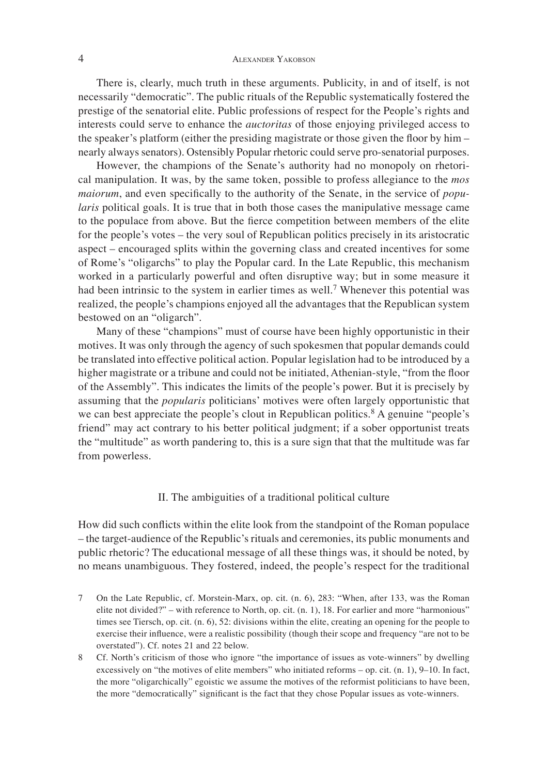There is, clearly, much truth in these arguments. Publicity, in and of itself, is not necessarily "democratic". The public rituals of the Republic systematically fostered the prestige of the senatorial elite. Public professions of respect for the People's rights and interests could serve to enhance the *auctoritas* of those enjoying privileged access to the speaker's platform (either the presiding magistrate or those given the floor by him – nearly always senators). Ostensibly Popular rhetoric could serve pro-senatorial purposes.

However, the champions of the Senate's authority had no monopoly on rhetorical manipulation. It was, by the same token, possible to profess allegiance to the *mos maiorum*, and even specifically to the authority of the Senate, in the service of *popularis* political goals. It is true that in both those cases the manipulative message came to the populace from above. But the fierce competition between members of the elite for the people's votes – the very soul of Republican politics precisely in its aristocratic aspect – encouraged splits within the governing class and created incentives for some of Rome's "oligarchs" to play the Popular card. In the Late Republic, this mechanism worked in a particularly powerful and often disruptive way; but in some measure it had been intrinsic to the system in earlier times as well.<sup>7</sup> Whenever this potential was realized, the people's champions enjoyed all the advantages that the Republican system bestowed on an "oligarch".

Many of these "champions" must of course have been highly opportunistic in their motives. It was only through the agency of such spokesmen that popular demands could be translated into effective political action. Popular legislation had to be introduced by a higher magistrate or a tribune and could not be initiated, Athenian-style, "from the floor of the Assembly". This indicates the limits of the people's power. But it is precisely by assuming that the *popularis* politicians' motives were often largely opportunistic that we can best appreciate the people's clout in Republican politics.<sup>8</sup> A genuine "people's friend" may act contrary to his better political judgment; if a sober opportunist treats the "multitude" as worth pandering to, this is a sure sign that that the multitude was far from powerless.

## II. The ambiguities of a traditional political culture

How did such conflicts within the elite look from the standpoint of the Roman populace – the target-audience of the Republic's rituals and ceremonies, its public monuments and public rhetoric? The educational message of all these things was, it should be noted, by no means unambiguous. They fostered, indeed, the people's respect for the traditional

- 7 On the Late Republic, cf. Morstein-Marx, op. cit. (n. 6), 283: "When, after 133, was the Roman elite not divided?" – with reference to North, op. cit. (n. 1), 18. For earlier and more "harmonious" times see Tiersch, op. cit. (n. 6), 52: divisions within the elite, creating an opening for the people to exercise their influence, were a realistic possibility (though their scope and frequency "are not to be overstated"). Cf. notes 21 and 22 below.
- 8 Cf. North's criticism of those who ignore "the importance of issues as vote-winners" by dwelling excessively on "the motives of elite members" who initiated reforms – op. cit. (n. 1), 9–10. In fact, the more "oligarchically" egoistic we assume the motives of the reformist politicians to have been, the more "democratically" significant is the fact that they chose Popular issues as vote-winners.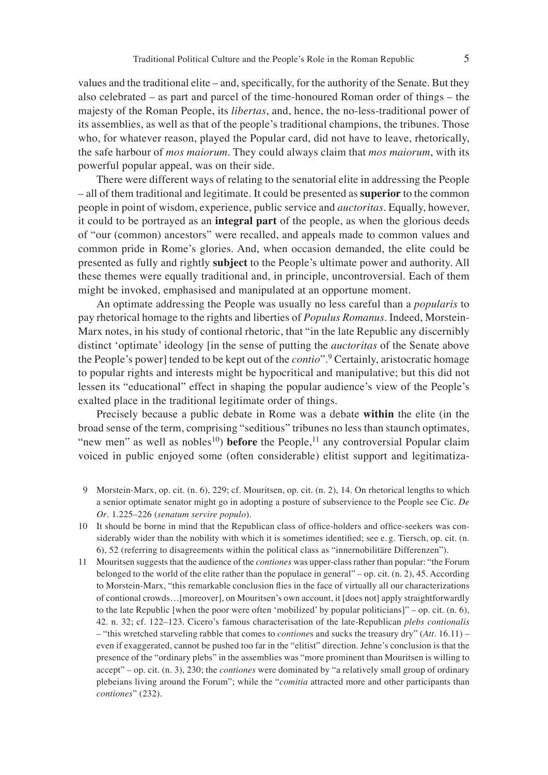values and the traditional elite – and, specifically, for the authority of the Senate. But they also celebrated – as part and parcel of the time-honoured Roman order of things – the majesty of the Roman People, its *libertas*, and, hence, the no-less-traditional power of its assemblies, as well as that of the people's traditional champions, the tribunes. Those who, for whatever reason, played the Popular card, did not have to leave, rhetorically, the safe harbour of *mos maiorum*. They could always claim that *mos maiorum*, with its powerful popular appeal, was on their side.

There were different ways of relating to the senatorial elite in addressing the People – all of them traditional and legitimate. It could be presented as **superior** to the common people in point of wisdom, experience, public service and *auctoritas*. Equally, however, it could to be portrayed as an **integral part** of the people, as when the glorious deeds of "our (common) ancestors" were recalled, and appeals made to common values and common pride in Rome's glories. And, when occasion demanded, the elite could be presented as fully and rightly **subject** to the People's ultimate power and authority. All these themes were equally traditional and, in principle, uncontroversial. Each of them might be invoked, emphasised and manipulated at an opportune moment.

An optimate addressing the People was usually no less careful than a *popularis* to pay rhetorical homage to the rights and liberties of *Populus Romanus*. Indeed, Morstein-Marx notes, in his study of contional rhetoric, that "in the late Republic any discernibly distinct ʻoptimate' ideology [in the sense of putting the *auctoritas* of the Senate above the People's power] tended to be kept out of the *contio*".9 Certainly, aristocratic homage to popular rights and interests might be hypocritical and manipulative; but this did not lessen its "educational" effect in shaping the popular audience's view of the People's exalted place in the traditional legitimate order of things.

Precisely because a public debate in Rome was a debate **within** the elite (in the broad sense of the term, comprising "seditious" tribunes no less than staunch optimates, "new men" as well as nobles<sup>10</sup>) **before** the People,<sup>11</sup> any controversial Popular claim voiced in public enjoyed some (often considerable) elitist support and legitimatiza-

- 9 Morstein-Marx, op. cit. (n. 6), 229; cf. Mouritsen, op. cit. (n. 2), 14. On rhetorical lengths to which a senior optimate senator might go in adopting a posture of subservience to the People see Cic. *De Or*. 1.225–226 (*senatum servire populo*).
- 10 It should be borne in mind that the Republican class of office-holders and office-seekers was considerably wider than the nobility with which it is sometimes identified; see e.g. Tiersch, op. cit. (n. 6), 52 (referring to disagreements within the political class as "innernobilitäre Differenzen").
- 11 Mouritsen suggests that the audience of the *contiones* was upper-class rather than popular: "the Forum belonged to the world of the elite rather than the populace in general" – op. cit. (n. 2), 45. According to Morstein-Marx, "this remarkable conclusion flies in the face of virtually all our characterizations of contional crowds…[moreover], on Mouritsen's own account, it [does not] apply straightforwardly to the late Republic [when the poor were often ʻmobilized' by popular politicians]" – op. cit. (n. 6), 42. n. 32; cf. 122–123. Cicero's famous characterisation of the late-Republican *plebs contionalis* – "this wretched starveling rabble that comes to *contione*s and sucks the treasury dry" (*Att*. 16.11) – even if exaggerated, cannot be pushed too far in the "elitist" direction. Jehne's conclusion is that the presence of the "ordinary plebs" in the assemblies was "more prominent than Mouritsen is willing to accept" – op. cit. (n. 3), 230; the *contiones* were dominated by "a relatively small group of ordinary plebeians living around the Forum"; while the "*comitia* attracted more and other participants than *contiones*" (232).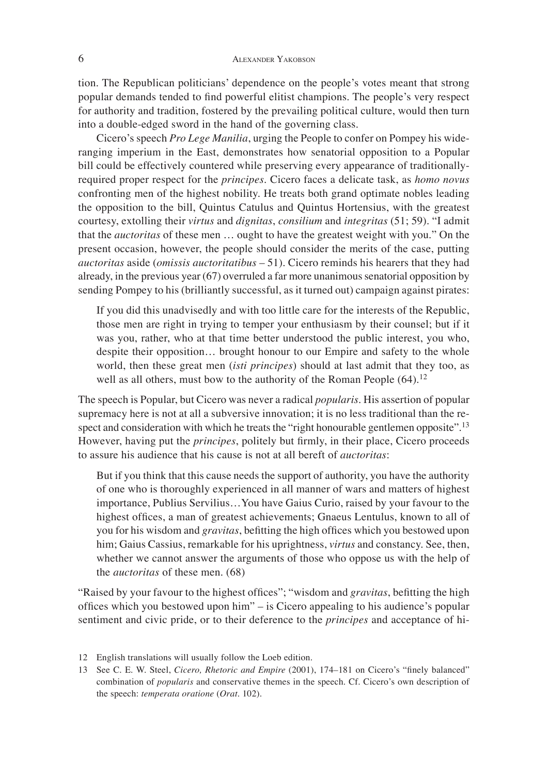tion. The Republican politicians' dependence on the people's votes meant that strong popular demands tended to find powerful elitist champions. The people's very respect for authority and tradition, fostered by the prevailing political culture, would then turn into a double-edged sword in the hand of the governing class.

Cicero's speech *Pro Lege Manilia*, urging the People to confer on Pompey his wideranging imperium in the East, demonstrates how senatorial opposition to a Popular bill could be effectively countered while preserving every appearance of traditionallyrequired proper respect for the *principes*. Cicero faces a delicate task, as *homo novus* confronting men of the highest nobility. He treats both grand optimate nobles leading the opposition to the bill, Quintus Catulus and Quintus Hortensius, with the greatest courtesy, extolling their *virtus* and *dignitas*, *consilium* and *integritas* (51; 59). "I admit that the *auctoritas* of these men … ought to have the greatest weight with you." On the present occasion, however, the people should consider the merits of the case, putting *auctoritas* aside (*omissis auctoritatibus* – 51). Cicero reminds his hearers that they had already, in the previous year (67) overruled a far more unanimous senatorial opposition by sending Pompey to his (brilliantly successful, as it turned out) campaign against pirates:

If you did this unadvisedly and with too little care for the interests of the Republic, those men are right in trying to temper your enthusiasm by their counsel; but if it was you, rather, who at that time better understood the public interest, you who, despite their opposition… brought honour to our Empire and safety to the whole world, then these great men (*isti principes*) should at last admit that they too, as well as all others, must bow to the authority of the Roman People  $(64)$ .<sup>12</sup>

The speech is Popular, but Cicero was never a radical *popularis*. His assertion of popular supremacy here is not at all a subversive innovation; it is no less traditional than the respect and consideration with which he treats the "right honourable gentlemen opposite".<sup>13</sup> However, having put the *principes*, politely but firmly, in their place, Cicero proceeds to assure his audience that his cause is not at all bereft of *auctoritas*:

But if you think that this cause needs the support of authority, you have the authority of one who is thoroughly experienced in all manner of wars and matters of highest importance, Publius Servilius…You have Gaius Curio, raised by your favour to the highest offices, a man of greatest achievements; Gnaeus Lentulus, known to all of you for his wisdom and *gravitas*, befitting the high offices which you bestowed upon him; Gaius Cassius, remarkable for his uprightness, *virtus* and constancy. See, then, whether we cannot answer the arguments of those who oppose us with the help of the *auctoritas* of these men. (68)

"Raised by your favour to the highest offices"; "wisdom and *gravitas*, befitting the high offices which you bestowed upon him" – is Cicero appealing to his audience's popular sentiment and civic pride, or to their deference to the *principes* and acceptance of hi-

<sup>12</sup> English translations will usually follow the Loeb edition.

<sup>13</sup> See C. E. W. Steel, *Cicero, Rhetoric and Empire* (2001), 174–181 on Cicero's "finely balanced" combination of *popularis* and conservative themes in the speech. Cf. Cicero's own description of the speech: *temperata oratione* (*Orat*. 102).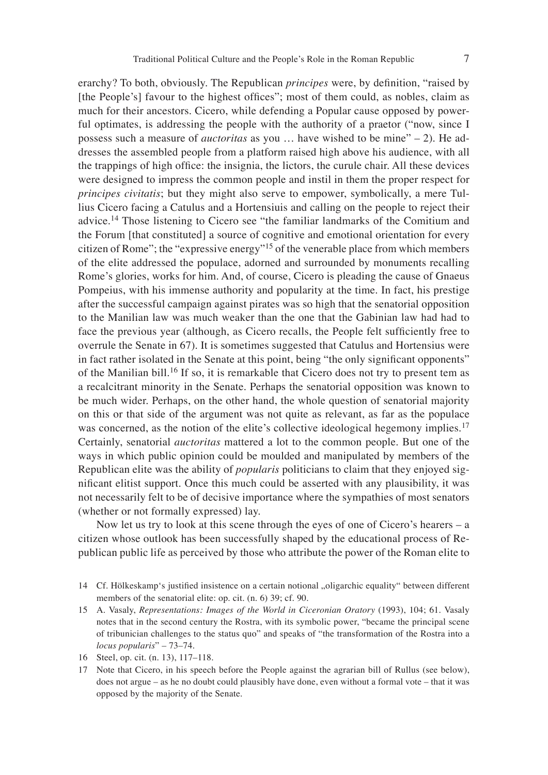erarchy? To both, obviously. The Republican *principes* were, by definition, "raised by [the People's] favour to the highest offices"; most of them could, as nobles, claim as much for their ancestors. Cicero, while defending a Popular cause opposed by powerful optimates, is addressing the people with the authority of a praetor ("now, since I possess such a measure of *auctoritas* as you … have wished to be mine" – 2). He addresses the assembled people from a platform raised high above his audience, with all the trappings of high office: the insignia, the lictors, the curule chair. All these devices were designed to impress the common people and instil in them the proper respect for *principes civitatis*; but they might also serve to empower, symbolically, a mere Tullius Cicero facing a Catulus and a Hortensiuis and calling on the people to reject their advice.14 Those listening to Cicero see "the familiar landmarks of the Comitium and the Forum [that constituted] a source of cognitive and emotional orientation for every citizen of Rome"; the "expressive energy"15 of the venerable place from which members of the elite addressed the populace, adorned and surrounded by monuments recalling Rome's glories, works for him. And, of course, Cicero is pleading the cause of Gnaeus Pompeius, with his immense authority and popularity at the time. In fact, his prestige after the successful campaign against pirates was so high that the senatorial opposition to the Manilian law was much weaker than the one that the Gabinian law had had to face the previous year (although, as Cicero recalls, the People felt sufficiently free to overrule the Senate in 67). It is sometimes suggested that Catulus and Hortensius were in fact rather isolated in the Senate at this point, being "the only significant opponents" of the Manilian bill.<sup>16</sup> If so, it is remarkable that Cicero does not try to present tem as a recalcitrant minority in the Senate. Perhaps the senatorial opposition was known to be much wider. Perhaps, on the other hand, the whole question of senatorial majority on this or that side of the argument was not quite as relevant, as far as the populace was concerned, as the notion of the elite's collective ideological hegemony implies.<sup>17</sup> Certainly, senatorial *auctoritas* mattered a lot to the common people. But one of the ways in which public opinion could be moulded and manipulated by members of the Republican elite was the ability of *popularis* politicians to claim that they enjoyed significant elitist support. Once this much could be asserted with any plausibility, it was not necessarily felt to be of decisive importance where the sympathies of most senators (whether or not formally expressed) lay.

Now let us try to look at this scene through the eyes of one of Cicero's hearers – a citizen whose outlook has been successfully shaped by the educational process of Republican public life as perceived by those who attribute the power of the Roman elite to

- 14 Cf. Hölkeskamp's justified insistence on a certain notional "oligarchic equality" between different members of the senatorial elite: op. cit. (n. 6) 39; cf. 90.
- 15 A. Vasaly, *Representations: Images of the World in Ciceronian Oratory* (1993), 104; 61. Vasaly notes that in the second century the Rostra, with its symbolic power, "became the principal scene of tribunician challenges to the status quo" and speaks of "the transformation of the Rostra into a *locus popularis*" – 73–74.
- 16 Steel, op. cit. (n. 13), 117–118.
- 17 Note that Cicero, in his speech before the People against the agrarian bill of Rullus (see below), does not argue – as he no doubt could plausibly have done, even without a formal vote – that it was opposed by the majority of the Senate.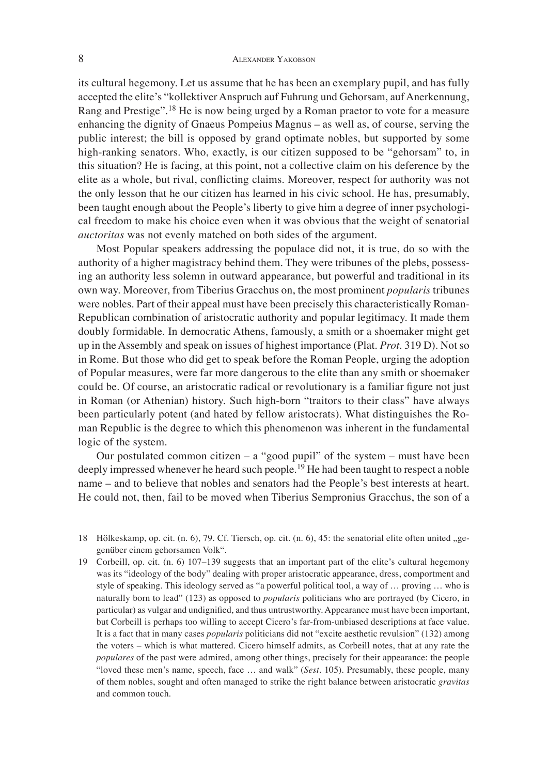its cultural hegemony. Let us assume that he has been an exemplary pupil, and has fully accepted the elite's "kollektiver Anspruch auf Fuhrung und Gehorsam, auf Anerkennung, Rang and Prestige".18 He is now being urged by a Roman praetor to vote for a measure enhancing the dignity of Gnaeus Pompeius Magnus – as well as, of course, serving the public interest; the bill is opposed by grand optimate nobles, but supported by some high-ranking senators. Who, exactly, is our citizen supposed to be "gehorsam" to, in this situation? He is facing, at this point, not a collective claim on his deference by the elite as a whole, but rival, conflicting claims. Moreover, respect for authority was not the only lesson that he our citizen has learned in his civic school. He has, presumably, been taught enough about the People's liberty to give him a degree of inner psychological freedom to make his choice even when it was obvious that the weight of senatorial *auctoritas* was not evenly matched on both sides of the argument.

Most Popular speakers addressing the populace did not, it is true, do so with the authority of a higher magistracy behind them. They were tribunes of the plebs, possessing an authority less solemn in outward appearance, but powerful and traditional in its own way. Moreover, from Tiberius Gracchus on, the most prominent *popularis* tribunes were nobles. Part of their appeal must have been precisely this characteristically Roman-Republican combination of aristocratic authority and popular legitimacy. It made them doubly formidable. In democratic Athens, famously, a smith or a shoemaker might get up in the Assembly and speak on issues of highest importance (Plat. *Prot*. 319 D). Not so in Rome. But those who did get to speak before the Roman People, urging the adoption of Popular measures, were far more dangerous to the elite than any smith or shoemaker could be. Of course, an aristocratic radical or revolutionary is a familiar figure not just in Roman (or Athenian) history. Such high-born "traitors to their class" have always been particularly potent (and hated by fellow aristocrats). What distinguishes the Roman Republic is the degree to which this phenomenon was inherent in the fundamental logic of the system.

Our postulated common citizen  $-$  a "good pupil" of the system  $-$  must have been deeply impressed whenever he heard such people.<sup>19</sup> He had been taught to respect a noble name – and to believe that nobles and senators had the People's best interests at heart. He could not, then, fail to be moved when Tiberius Sempronius Gracchus, the son of a

18 Hölkeskamp, op. cit. (n. 6), 79. Cf. Tiersch, op. cit. (n. 6), 45: the senatorial elite often united "gegenüber einem gehorsamen Volk".

19 Corbeill, op. cit. (n. 6) 107–139 suggests that an important part of the elite's cultural hegemony was its "ideology of the body" dealing with proper aristocratic appearance, dress, comportment and style of speaking. This ideology served as "a powerful political tool, a way of … proving … who is naturally born to lead" (123) as opposed to *popularis* politicians who are portrayed (by Cicero, in particular) as vulgar and undignified, and thus untrustworthy. Appearance must have been important, but Corbeill is perhaps too willing to accept Cicero's far-from-unbiased descriptions at face value. It is a fact that in many cases *popularis* politicians did not "excite aesthetic revulsion" (132) among the voters – which is what mattered. Cicero himself admits, as Corbeill notes, that at any rate the *populares* of the past were admired, among other things, precisely for their appearance: the people "loved these men's name, speech, face … and walk" (*Sest*. 105). Presumably, these people, many of them nobles, sought and often managed to strike the right balance between aristocratic *gravitas* and common touch.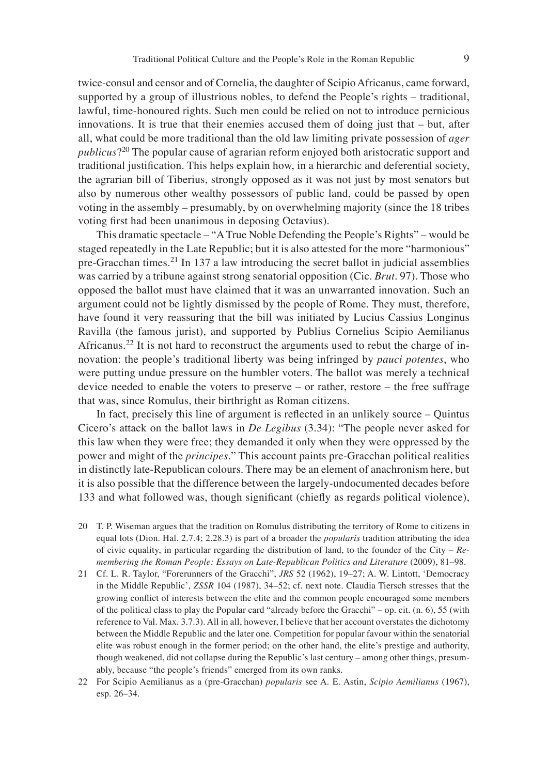twice-consul and censor and of Cornelia, the daughter of Scipio Africanus, came forward, supported by a group of illustrious nobles, to defend the People's rights – traditional, lawful, time-honoured rights. Such men could be relied on not to introduce pernicious innovations. It is true that their enemies accused them of doing just that – but, after all, what could be more traditional than the old law limiting private possession of *ager publicus*?20 The popular cause of agrarian reform enjoyed both aristocratic support and traditional justification. This helps explain how, in a hierarchic and deferential society, the agrarian bill of Tiberius, strongly opposed as it was not just by most senators but also by numerous other wealthy possessors of public land, could be passed by open voting in the assembly – presumably, by on overwhelming majority (since the 18 tribes voting first had been unanimous in deposing Octavius).

This dramatic spectacle – "A True Noble Defending the People's Rights" – would be staged repeatedly in the Late Republic; but it is also attested for the more "harmonious" pre-Gracchan times.21 In 137 a law introducing the secret ballot in judicial assemblies was carried by a tribune against strong senatorial opposition (Cic. *Brut*. 97). Those who opposed the ballot must have claimed that it was an unwarranted innovation. Such an argument could not be lightly dismissed by the people of Rome. They must, therefore, have found it very reassuring that the bill was initiated by Lucius Cassius Longinus Ravilla (the famous jurist), and supported by Publius Cornelius Scipio Aemilianus Africanus.<sup>22</sup> It is not hard to reconstruct the arguments used to rebut the charge of innovation: the people's traditional liberty was being infringed by *pauci potentes*, who were putting undue pressure on the humbler voters. The ballot was merely a technical device needed to enable the voters to preserve – or rather, restore – the free suffrage that was, since Romulus, their birthright as Roman citizens.

In fact, precisely this line of argument is reflected in an unlikely source  $-$  Quintus Cicero's attack on the ballot laws in *De Legibus* (3.34): "The people never asked for this law when they were free; they demanded it only when they were oppressed by the power and might of the *principes*." This account paints pre-Gracchan political realities in distinctly late-Republican colours. There may be an element of anachronism here, but it is also possible that the difference between the largely-undocumented decades before 133 and what followed was, though significant (chiefly as regards political violence),

- 20 T. P. Wiseman argues that the tradition on Romulus distributing the territory of Rome to citizens in equal lots (Dion. Hal. 2.7.4; 2.28.3) is part of a broader the *popularis* tradition attributing the idea of civic equality, in particular regarding the distribution of land, to the founder of the City – *Remembering the Roman People: Essays on Late-Republican Politics and Literature* (2009), 81–98.
- 21 Cf. L. R. Taylor, "Forerunners of the Gracchi", *JRS* 52 (1962), 19–27; A. W. Lintott, ʻDemocracy in the Middle Republic', *ZSSR* 104 (1987), 34–52; cf. next note. Claudia Tiersch stresses that the growing conflict of interests between the elite and the common people encouraged some members of the political class to play the Popular card "already before the Gracchi" – op. cit. (n. 6), 55 (with reference to Val. Max. 3.7.3). All in all, however, I believe that her account overstates the dichotomy between the Middle Republic and the later one. Competition for popular favour within the senatorial elite was robust enough in the former period; on the other hand, the elite's prestige and authority, though weakened, did not collapse during the Republic's last century – among other things, presumably, because "the people's friends" emerged from its own ranks.
- 22 For Scipio Aemilianus as a (pre-Gracchan) *popularis* see A. E. Astin, *Scipio Aemilianus* (1967), esp. 26–34.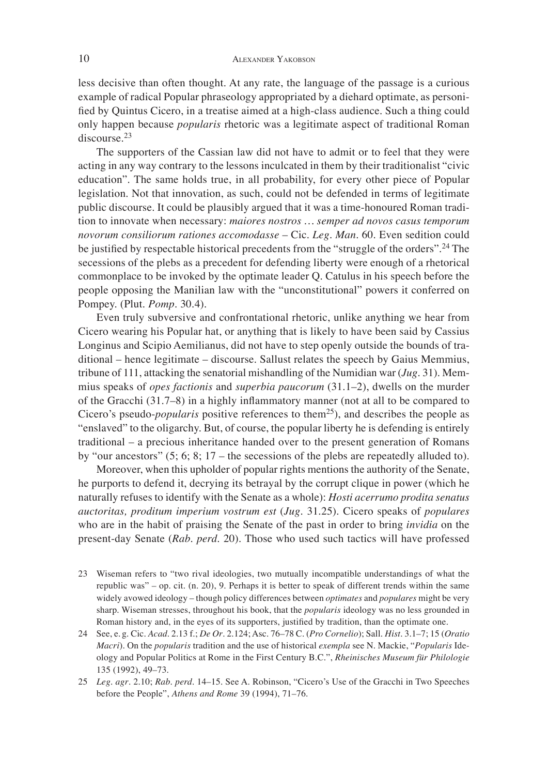less decisive than often thought. At any rate, the language of the passage is a curious example of radical Popular phraseology appropriated by a diehard optimate, as personified by Quintus Cicero, in a treatise aimed at a high-class audience. Such a thing could only happen because *popularis* rhetoric was a legitimate aspect of traditional Roman discourse.<sup>23</sup>

The supporters of the Cassian law did not have to admit or to feel that they were acting in any way contrary to the lessons inculcated in them by their traditionalist "civic education". The same holds true, in all probability, for every other piece of Popular legislation. Not that innovation, as such, could not be defended in terms of legitimate public discourse. It could be plausibly argued that it was a time-honoured Roman tradition to innovate when necessary: *maiores nostros … semper ad novos casus temporum novorum consiliorum rationes accomodasse* – Cic. *Leg. Man*. 60. Even sedition could be justified by respectable historical precedents from the "struggle of the orders".<sup>24</sup> The secessions of the plebs as a precedent for defending liberty were enough of a rhetorical commonplace to be invoked by the optimate leader Q. Catulus in his speech before the people opposing the Manilian law with the "unconstitutional" powers it conferred on Pompey. (Plut. *Pomp*. 30.4).

Even truly subversive and confrontational rhetoric, unlike anything we hear from Cicero wearing his Popular hat, or anything that is likely to have been said by Cassius Longinus and Scipio Aemilianus, did not have to step openly outside the bounds of traditional – hence legitimate – discourse. Sallust relates the speech by Gaius Memmius, tribune of 111, attacking the senatorial mishandling of the Numidian war (*Jug*. 31). Memmius speaks of *opes factionis* and *superbia paucorum* (31.1–2), dwells on the murder of the Gracchi (31.7–8) in a highly inflammatory manner (not at all to be compared to Cicero's pseudo-*popularis* positive references to them<sup>25</sup>), and describes the people as "enslaved" to the oligarchy. But, of course, the popular liberty he is defending is entirely traditional – a precious inheritance handed over to the present generation of Romans by "our ancestors" (5; 6; 8; 17 – the secessions of the plebs are repeatedly alluded to).

Moreover, when this upholder of popular rights mentions the authority of the Senate, he purports to defend it, decrying its betrayal by the corrupt clique in power (which he naturally refuses to identify with the Senate as a whole): *Hosti acerrumo prodita senatus auctoritas, proditum imperium vostrum est* (*Jug*. 31.25). Cicero speaks of *populares*  who are in the habit of praising the Senate of the past in order to bring *invidia* on the present-day Senate (*Rab. perd*. 20). Those who used such tactics will have professed

- 23 Wiseman refers to "two rival ideologies, two mutually incompatible understandings of what the republic was" – op. cit. (n. 20), 9. Perhaps it is better to speak of different trends within the same widely avowed ideology – though policy differences between *optimates* and *populares* might be very sharp. Wiseman stresses, throughout his book, that the *popularis* ideology was no less grounded in Roman history and, in the eyes of its supporters, justified by tradition, than the optimate one.
- 24 See, e. g. Cic. *Acad*. 2.13 f.; *De Or*. 2.124; Asc. 76–78 C. (*Pro Cornelio*); Sall. *Hist*. 3.1–7; 15 (*Oratio Macri*). On the *popularis* tradition and the use of historical *exempla* see N. Mackie, "*Popularis* Ideology and Popular Politics at Rome in the First Century B.C.", *Rheinisches Museum für Philologie* 135 (1992), 49–73.
- 25 *Leg. agr*. 2.10; *Rab. perd*. 14–15. See A. Robinson, "Cicero's Use of the Gracchi in Two Speeches before the People", *Athens and Rome* 39 (1994), 71–76.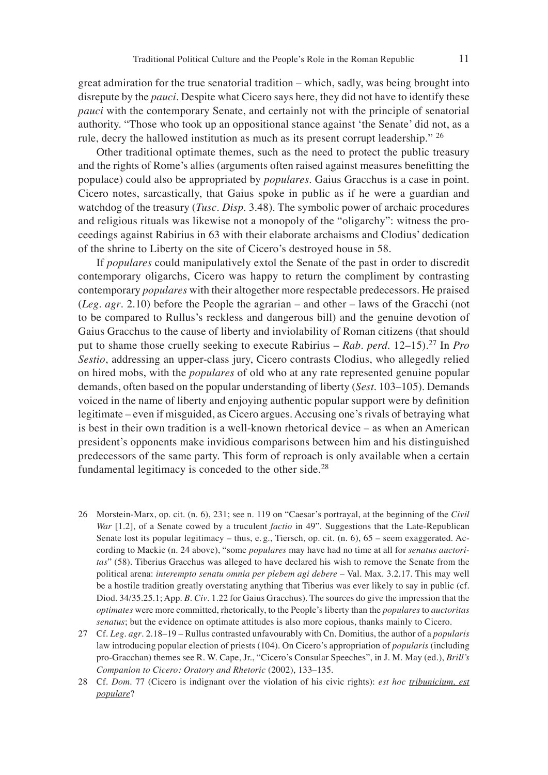great admiration for the true senatorial tradition – which, sadly, was being brought into disrepute by the *pauci*. Despite what Cicero says here, they did not have to identify these *pauci* with the contemporary Senate, and certainly not with the principle of senatorial authority. "Those who took up an oppositional stance against ʻthe Senate' did not, as a rule, decry the hallowed institution as much as its present corrupt leadership." <sup>26</sup>

Other traditional optimate themes, such as the need to protect the public treasury and the rights of Rome's allies (arguments often raised against measures benefitting the populace) could also be appropriated by *populares*. Gaius Gracchus is a case in point. Cicero notes, sarcastically, that Gaius spoke in public as if he were a guardian and watchdog of the treasury (*Tusc. Disp*. 3.48). The symbolic power of archaic procedures and religious rituals was likewise not a monopoly of the "oligarchy": witness the proceedings against Rabirius in 63 with their elaborate archaisms and Clodius' dedication of the shrine to Liberty on the site of Cicero's destroyed house in 58.

If *populares* could manipulatively extol the Senate of the past in order to discredit contemporary oligarchs, Cicero was happy to return the compliment by contrasting contemporary *populares* with their altogether more respectable predecessors. He praised (*Leg. agr*. 2.10) before the People the agrarian – and other – laws of the Gracchi (not to be compared to Rullus's reckless and dangerous bill) and the genuine devotion of Gaius Gracchus to the cause of liberty and inviolability of Roman citizens (that should put to shame those cruelly seeking to execute Rabirius – *Rab. perd*. 12–15).27 In *Pro Sestio*, addressing an upper-class jury, Cicero contrasts Clodius, who allegedly relied on hired mobs, with the *populares* of old who at any rate represented genuine popular demands, often based on the popular understanding of liberty (*Sest*. 103–105). Demands voiced in the name of liberty and enjoying authentic popular support were by definition legitimate – even if misguided, as Cicero argues. Accusing one's rivals of betraying what is best in their own tradition is a well-known rhetorical device – as when an American president's opponents make invidious comparisons between him and his distinguished predecessors of the same party. This form of reproach is only available when a certain fundamental legitimacy is conceded to the other side.<sup>28</sup>

- 26 Morstein-Marx, op. cit. (n. 6), 231; see n. 119 on "Caesar's portrayal, at the beginning of the *Civil War* [1.2], of a Senate cowed by a truculent *factio* in 49". Suggestions that the Late-Republican Senate lost its popular legitimacy – thus, e. g., Tiersch, op. cit. (n. 6), 65 – seem exaggerated. According to Mackie (n. 24 above), "some *populares* may have had no time at all for *senatus auctoritas*" (58). Tiberius Gracchus was alleged to have declared his wish to remove the Senate from the political arena: *interempto senatu omnia per plebem agi debere* – Val. Max. 3.2.17. This may well be a hostile tradition greatly overstating anything that Tiberius was ever likely to say in public (cf. Diod. 34/35.25.1; App. *B. Civ*. 1.22 for Gaius Gracchus). The sources do give the impression that the *optimates* were more committed, rhetorically, to the People's liberty than the *populares* to *auctoritas senatus*; but the evidence on optimate attitudes is also more copious, thanks mainly to Cicero.
- 27 Cf. *Leg. agr*. 2.18–19 Rullus contrasted unfavourably with Cn. Domitius, the author of a *popularis* law introducing popular election of priests (104). On Cicero's appropriation of *popularis* (including pro-Gracchan) themes see R. W. Cape, Jr., "Cicero's Consular Speeches", in J. M. May (ed.), *Brill's Companion to Cicero: Oratory and Rhetoric* (2002), 133–135.
- 28 Cf. *Dom*. 77 (Cicero is indignant over the violation of his civic rights): *est hoc tribunicium, est populare*?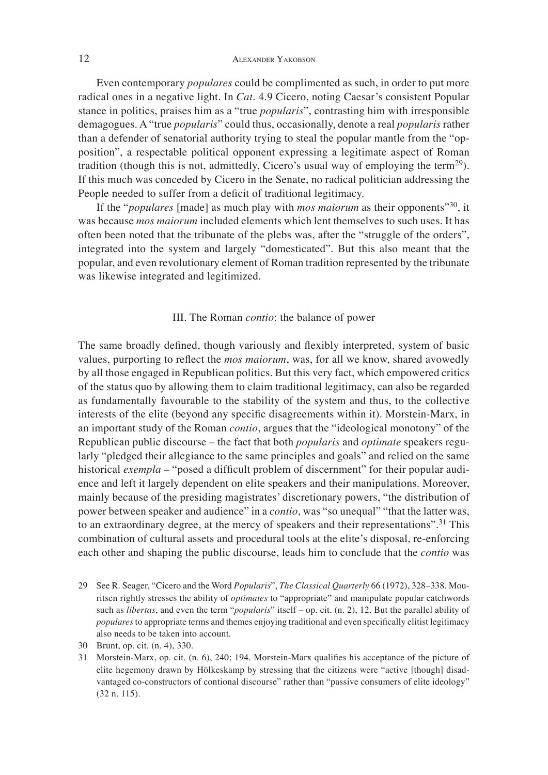Even contemporary *populares* could be complimented as such, in order to put more radical ones in a negative light. In *Cat*. 4.9 Cicero, noting Caesar's consistent Popular stance in politics, praises him as a "true *popularis*", contrasting him with irresponsible demagogues. A "true *popularis*" could thus, occasionally, denote a real *popularis* rather than a defender of senatorial authority trying to steal the popular mantle from the "opposition", a respectable political opponent expressing a legitimate aspect of Roman tradition (though this is not, admittedly, Cicero's usual way of employing the term<sup>29</sup>). If this much was conceded by Cicero in the Senate, no radical politician addressing the People needed to suffer from a deficit of traditional legitimacy.

If the "*populares* [made] as much play with *mos maiorum* as their opponents"30, it was because *mos maiorum* included elements which lent themselves to such uses. It has often been noted that the tribunate of the plebs was, after the "struggle of the orders", integrated into the system and largely "domesticated". But this also meant that the popular, and even revolutionary element of Roman tradition represented by the tribunate was likewise integrated and legitimized.

### III. The Roman *contio*: the balance of power

The same broadly defined, though variously and flexibly interpreted, system of basic values, purporting to reflect the *mos maiorum*, was, for all we know, shared avowedly by all those engaged in Republican politics. But this very fact, which empowered critics of the status quo by allowing them to claim traditional legitimacy, can also be regarded as fundamentally favourable to the stability of the system and thus, to the collective interests of the elite (beyond any specific disagreements within it). Morstein-Marx, in an important study of the Roman *contio*, argues that the "ideological monotony" of the Republican public discourse – the fact that both *popularis* and *optimate* speakers regularly "pledged their allegiance to the same principles and goals" and relied on the same historical *exempla* – "posed a difficult problem of discernment" for their popular audience and left it largely dependent on elite speakers and their manipulations. Moreover, mainly because of the presiding magistrates' discretionary powers, "the distribution of power between speaker and audience" in a *contio*, was "so unequal" "that the latter was, to an extraordinary degree, at the mercy of speakers and their representations".<sup>31</sup> This combination of cultural assets and procedural tools at the elite's disposal, re-enforcing each other and shaping the public discourse, leads him to conclude that the *contio* was

- 29 See R. Seager, "Cicero and the Word *Popularis*", *The Classical Quarterly* 66 (1972), 328–338. Mouritsen rightly stresses the ability of *optimates* to "appropriate" and manipulate popular catchwords such as *libertas*, and even the term "*popularis*" itself – op. cit. (n. 2), 12. But the parallel ability of *populares* to appropriate terms and themes enjoying traditional and even specifically elitist legitimacy also needs to be taken into account.
- 30 Brunt, op. cit. (n. 4), 330.
- 31 Morstein-Marx, op. cit. (n. 6), 240; 194. Morstein-Marx qualifies his acceptance of the picture of elite hegemony drawn by Hölkeskamp by stressing that the citizens were "active [though] disadvantaged co-constructors of contional discourse" rather than "passive consumers of elite ideology" (32 n. 115).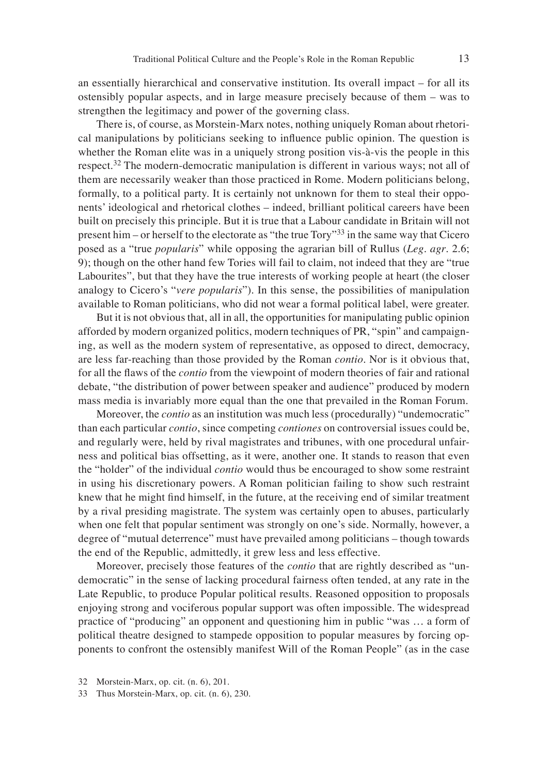an essentially hierarchical and conservative institution. Its overall impact – for all its ostensibly popular aspects, and in large measure precisely because of them – was to strengthen the legitimacy and power of the governing class.

There is, of course, as Morstein-Marx notes, nothing uniquely Roman about rhetorical manipulations by politicians seeking to influence public opinion. The question is whether the Roman elite was in a uniquely strong position vis-à-vis the people in this respect.32 The modern-democratic manipulation is different in various ways; not all of them are necessarily weaker than those practiced in Rome. Modern politicians belong, formally, to a political party. It is certainly not unknown for them to steal their opponents' ideological and rhetorical clothes – indeed, brilliant political careers have been built on precisely this principle. But it is true that a Labour candidate in Britain will not present him – or herself to the electorate as "the true Tory"33 in the same way that Cicero posed as a "true *popularis*" while opposing the agrarian bill of Rullus (*Leg. agr*. 2.6; 9); though on the other hand few Tories will fail to claim, not indeed that they are "true Labourites", but that they have the true interests of working people at heart (the closer analogy to Cicero's "*vere popularis*"). In this sense, the possibilities of manipulation available to Roman politicians, who did not wear a formal political label, were greater.

But it is not obvious that, all in all, the opportunities for manipulating public opinion afforded by modern organized politics, modern techniques of PR, "spin" and campaigning, as well as the modern system of representative, as opposed to direct, democracy, are less far-reaching than those provided by the Roman *contio*. Nor is it obvious that, for all the flaws of the *contio* from the viewpoint of modern theories of fair and rational debate, "the distribution of power between speaker and audience" produced by modern mass media is invariably more equal than the one that prevailed in the Roman Forum.

Moreover, the *contio* as an institution was much less (procedurally) "undemocratic" than each particular *contio*, since competing *contiones* on controversial issues could be, and regularly were, held by rival magistrates and tribunes, with one procedural unfairness and political bias offsetting, as it were, another one. It stands to reason that even the "holder" of the individual *contio* would thus be encouraged to show some restraint in using his discretionary powers. A Roman politician failing to show such restraint knew that he might find himself, in the future, at the receiving end of similar treatment by a rival presiding magistrate. The system was certainly open to abuses, particularly when one felt that popular sentiment was strongly on one's side. Normally, however, a degree of "mutual deterrence" must have prevailed among politicians – though towards the end of the Republic, admittedly, it grew less and less effective.

Moreover, precisely those features of the *contio* that are rightly described as "undemocratic" in the sense of lacking procedural fairness often tended, at any rate in the Late Republic, to produce Popular political results. Reasoned opposition to proposals enjoying strong and vociferous popular support was often impossible. The widespread practice of "producing" an opponent and questioning him in public "was … a form of political theatre designed to stampede opposition to popular measures by forcing opponents to confront the ostensibly manifest Will of the Roman People" (as in the case

<sup>32</sup> Morstein-Marx, op. cit. (n. 6), 201.

<sup>33</sup> Thus Morstein-Marx, op. cit. (n. 6), 230.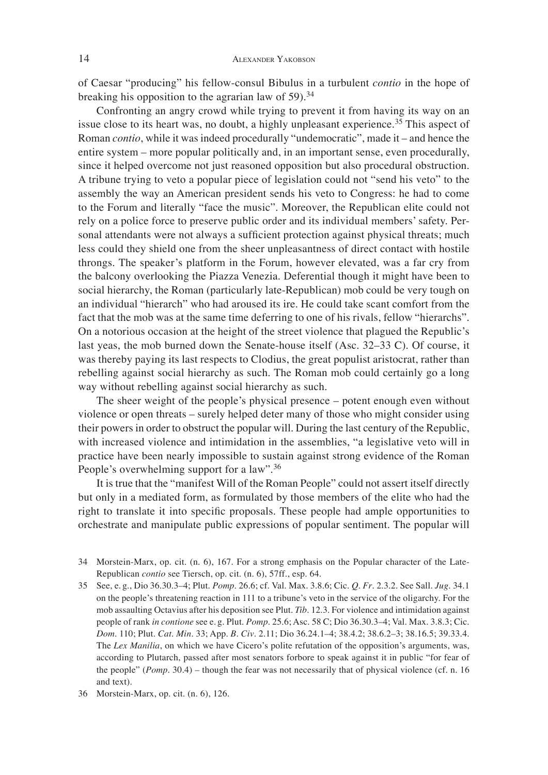of Caesar "producing" his fellow-consul Bibulus in a turbulent *contio* in the hope of breaking his opposition to the agrarian law of 59).<sup>34</sup>

Confronting an angry crowd while trying to prevent it from having its way on an issue close to its heart was, no doubt, a highly unpleasant experience.<sup>35</sup> This aspect of Roman *contio*, while it was indeed procedurally "undemocratic", made it – and hence the entire system – more popular politically and, in an important sense, even procedurally, since it helped overcome not just reasoned opposition but also procedural obstruction. A tribune trying to veto a popular piece of legislation could not "send his veto" to the assembly the way an American president sends his veto to Congress: he had to come to the Forum and literally "face the music". Moreover, the Republican elite could not rely on a police force to preserve public order and its individual members' safety. Personal attendants were not always a sufficient protection against physical threats; much less could they shield one from the sheer unpleasantness of direct contact with hostile throngs. The speaker's platform in the Forum, however elevated, was a far cry from the balcony overlooking the Piazza Venezia. Deferential though it might have been to social hierarchy, the Roman (particularly late-Republican) mob could be very tough on an individual "hierarch" who had aroused its ire. He could take scant comfort from the fact that the mob was at the same time deferring to one of his rivals, fellow "hierarchs". On a notorious occasion at the height of the street violence that plagued the Republic's last yeas, the mob burned down the Senate-house itself (Asc. 32–33 C). Of course, it was thereby paying its last respects to Clodius, the great populist aristocrat, rather than rebelling against social hierarchy as such. The Roman mob could certainly go a long way without rebelling against social hierarchy as such.

The sheer weight of the people's physical presence – potent enough even without violence or open threats – surely helped deter many of those who might consider using their powers in order to obstruct the popular will. During the last century of the Republic, with increased violence and intimidation in the assemblies, "a legislative veto will in practice have been nearly impossible to sustain against strong evidence of the Roman People's overwhelming support for a law".<sup>36</sup>

It is true that the "manifest Will of the Roman People" could not assert itself directly but only in a mediated form, as formulated by those members of the elite who had the right to translate it into specific proposals. These people had ample opportunities to orchestrate and manipulate public expressions of popular sentiment. The popular will

- 34 Morstein-Marx, op. cit. (n. 6), 167. For a strong emphasis on the Popular character of the Late-Republican *contio* see Tiersch, op. cit. (n. 6), 57ff., esp. 64.
- 35 See, e. g., Dio 36.30.3–4; Plut. *Pomp*. 26.6; cf. Val. Max. 3.8.6; Cic. *Q. Fr*. 2.3.2. See Sall. *Jug*. 34.1 on the people's threatening reaction in 111 to a tribune's veto in the service of the oligarchy. For the mob assaulting Octavius after his deposition see Plut. *Tib*. 12.3. For violence and intimidation against people of rank *in contione* see e. g. Plut. *Pomp*. 25.6; Asc. 58 C; Dio 36.30.3–4; Val. Max. 3.8.3; Cic. *Dom*. 110; Plut. *Cat. Min*. 33; App. *B. Civ*. 2.11; Dio 36.24.1–4; 38.4.2; 38.6.2–3; 38.16.5; 39.33.4. The *Lex Manilia*, on which we have Cicero's polite refutation of the opposition's arguments, was, according to Plutarch, passed after most senators forbore to speak against it in public "for fear of the people" (*Pomp*. 30.4) – though the fear was not necessarily that of physical violence (cf. n. 16 and text).

<sup>36</sup> Morstein-Marx, op. cit. (n. 6), 126.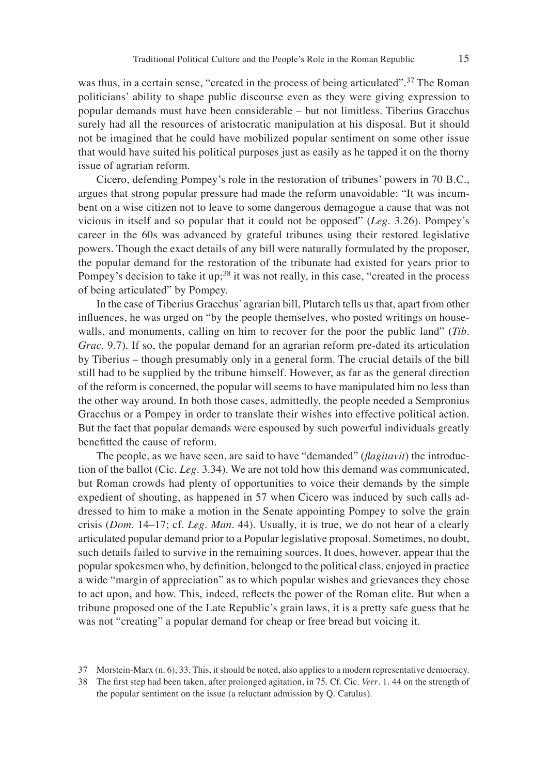was thus, in a certain sense, "created in the process of being articulated".<sup>37</sup> The Roman politicians' ability to shape public discourse even as they were giving expression to popular demands must have been considerable – but not limitless. Tiberius Gracchus surely had all the resources of aristocratic manipulation at his disposal. But it should not be imagined that he could have mobilized popular sentiment on some other issue that would have suited his political purposes just as easily as he tapped it on the thorny issue of agrarian reform.

Cicero, defending Pompey's role in the restoration of tribunes' powers in 70 B.C., argues that strong popular pressure had made the reform unavoidable: "It was incumbent on a wise citizen not to leave to some dangerous demagogue a cause that was not vicious in itself and so popular that it could not be opposed" (*Leg*. 3.26). Pompey's career in the 60s was advanced by grateful tribunes using their restored legislative powers. Though the exact details of any bill were naturally formulated by the proposer, the popular demand for the restoration of the tribunate had existed for years prior to Pompey's decision to take it up;<sup>38</sup> it was not really, in this case, "created in the process" of being articulated" by Pompey.

In the case of Tiberius Gracchus' agrarian bill, Plutarch tells us that, apart from other influences, he was urged on "by the people themselves, who posted writings on housewalls, and monuments, calling on him to recover for the poor the public land" (*Tib. Grac*. 9.7). If so, the popular demand for an agrarian reform pre-dated its articulation by Tiberius – though presumably only in a general form. The crucial details of the bill still had to be supplied by the tribune himself. However, as far as the general direction of the reform is concerned, the popular will seems to have manipulated him no less than the other way around. In both those cases, admittedly, the people needed a Sempronius Gracchus or a Pompey in order to translate their wishes into effective political action. But the fact that popular demands were espoused by such powerful individuals greatly benefitted the cause of reform.

The people, as we have seen, are said to have "demanded" (*flagitavit*) the introduction of the ballot (Cic. *Leg*. 3.34). We are not told how this demand was communicated, but Roman crowds had plenty of opportunities to voice their demands by the simple expedient of shouting, as happened in 57 when Cicero was induced by such calls addressed to him to make a motion in the Senate appointing Pompey to solve the grain crisis (*Dom*. 14–17; cf. *Leg. Man*. 44). Usually, it is true, we do not hear of a clearly articulated popular demand prior to a Popular legislative proposal. Sometimes, no doubt, such details failed to survive in the remaining sources. It does, however, appear that the popular spokesmen who, by definition, belonged to the political class, enjoyed in practice a wide "margin of appreciation" as to which popular wishes and grievances they chose to act upon, and how. This, indeed, reflects the power of the Roman elite. But when a tribune proposed one of the Late Republic's grain laws, it is a pretty safe guess that he was not "creating" a popular demand for cheap or free bread but voicing it.

<sup>37</sup> Morstein-Marx (n. 6), 33. This, it should be noted, also applies to a modern representative democracy.

<sup>38</sup> The first step had been taken, after prolonged agitation, in 75. Cf. Cic. *Verr*. 1. 44 on the strength of the popular sentiment on the issue (a reluctant admission by Q. Catulus).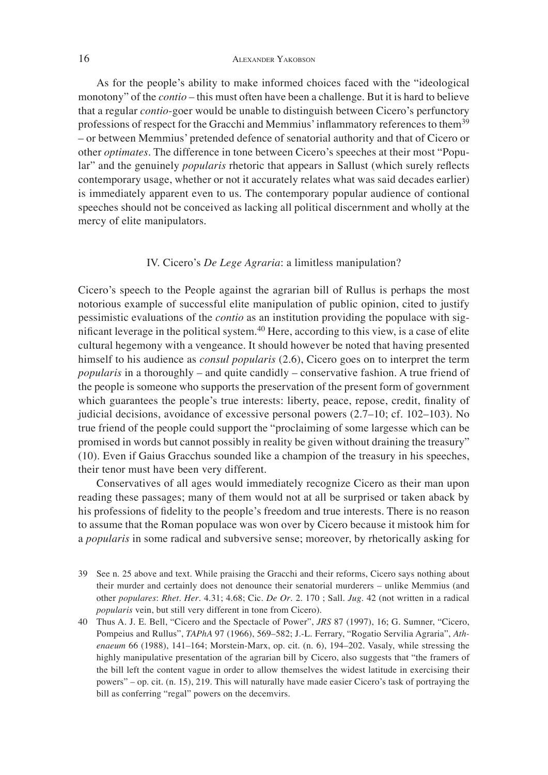## 16 ALEXANDER YAKOBSON

As for the people's ability to make informed choices faced with the "ideological monotony" of the *contio* – this must often have been a challenge. But it is hard to believe that a regular *contio*-goer would be unable to distinguish between Cicero's perfunctory professions of respect for the Gracchi and Memmius' inflammatory references to them<sup>39</sup> – or between Memmius' pretended defence of senatorial authority and that of Cicero or other *optimates*. The difference in tone between Cicero's speeches at their most "Popular" and the genuinely *popularis* rhetoric that appears in Sallust (which surely reflects contemporary usage, whether or not it accurately relates what was said decades earlier) is immediately apparent even to us. The contemporary popular audience of contional speeches should not be conceived as lacking all political discernment and wholly at the mercy of elite manipulators.

#### IV. Cicero's *De Lege Agraria*: a limitless manipulation?

Cicero's speech to the People against the agrarian bill of Rullus is perhaps the most notorious example of successful elite manipulation of public opinion, cited to justify pessimistic evaluations of the *contio* as an institution providing the populace with significant leverage in the political system.<sup>40</sup> Here, according to this view, is a case of elite cultural hegemony with a vengeance. It should however be noted that having presented himself to his audience as *consul popularis* (2.6), Cicero goes on to interpret the term *popularis* in a thoroughly – and quite candidly – conservative fashion. A true friend of the people is someone who supports the preservation of the present form of government which guarantees the people's true interests: liberty, peace, repose, credit, finality of judicial decisions, avoidance of excessive personal powers (2.7–10; cf. 102–103). No true friend of the people could support the "proclaiming of some largesse which can be promised in words but cannot possibly in reality be given without draining the treasury" (10). Even if Gaius Gracchus sounded like a champion of the treasury in his speeches, their tenor must have been very different.

Conservatives of all ages would immediately recognize Cicero as their man upon reading these passages; many of them would not at all be surprised or taken aback by his professions of fidelity to the people's freedom and true interests. There is no reason to assume that the Roman populace was won over by Cicero because it mistook him for a *popularis* in some radical and subversive sense; moreover, by rhetorically asking for

39 See n. 25 above and text. While praising the Gracchi and their reforms, Cicero says nothing about their murder and certainly does not denounce their senatorial murderers – unlike Memmius (and other *populares*: *Rhet. Her*. 4.31; 4.68; Cic. *De Or*. 2. 170 ; Sall. *Jug*. 42 (not written in a radical *popularis* vein, but still very different in tone from Cicero).

40 Thus A. J. E. Bell, "Cicero and the Spectacle of Power", *JRS* 87 (1997), 16; G. Sumner, "Cicero, Pompeius and Rullus", *TAPhA* 97 (1966), 569–582; J.-L. Ferrary, "Rogatio Servilia Agraria", *Athenaeum* 66 (1988), 141–164; Morstein-Marx, op. cit. (n. 6), 194–202. Vasaly, while stressing the highly manipulative presentation of the agrarian bill by Cicero, also suggests that "the framers of the bill left the content vague in order to allow themselves the widest latitude in exercising their powers" – op. cit. (n. 15), 219. This will naturally have made easier Cicero's task of portraying the bill as conferring "regal" powers on the decemvirs.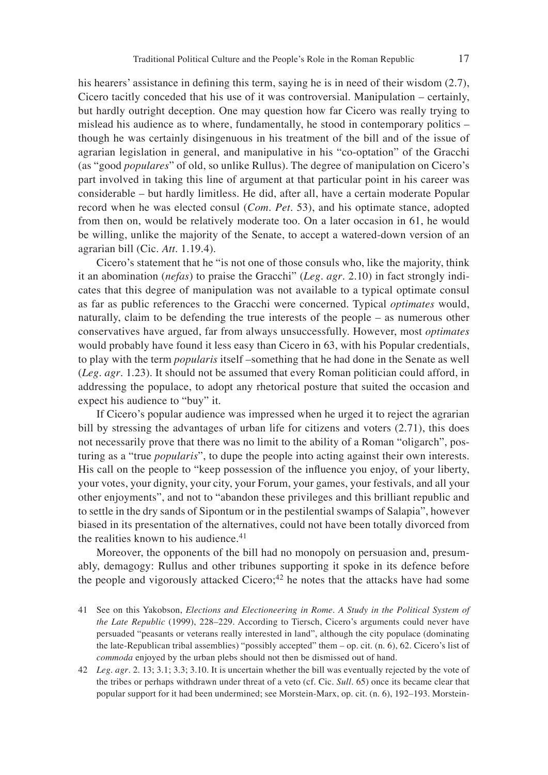his hearers' assistance in defining this term, saying he is in need of their wisdom  $(2.7)$ , Cicero tacitly conceded that his use of it was controversial. Manipulation – certainly, but hardly outright deception. One may question how far Cicero was really trying to mislead his audience as to where, fundamentally, he stood in contemporary politics – though he was certainly disingenuous in his treatment of the bill and of the issue of agrarian legislation in general, and manipulative in his "co-optation" of the Gracchi (as "good *populares*" of old, so unlike Rullus). The degree of manipulation on Cicero's part involved in taking this line of argument at that particular point in his career was considerable – but hardly limitless. He did, after all, have a certain moderate Popular record when he was elected consul (*Com. Pet*. 53), and his optimate stance, adopted from then on, would be relatively moderate too. On a later occasion in 61, he would be willing, unlike the majority of the Senate, to accept a watered-down version of an agrarian bill (Cic. *Att*. 1.19.4).

Cicero's statement that he "is not one of those consuls who, like the majority, think it an abomination (*nefas*) to praise the Gracchi" (*Leg. agr*. 2.10) in fact strongly indicates that this degree of manipulation was not available to a typical optimate consul as far as public references to the Gracchi were concerned. Typical *optimates* would, naturally, claim to be defending the true interests of the people – as numerous other conservatives have argued, far from always unsuccessfully. However, most *optimates* would probably have found it less easy than Cicero in 63, with his Popular credentials, to play with the term *popularis* itself –something that he had done in the Senate as well (*Leg. agr*. 1.23). It should not be assumed that every Roman politician could afford, in addressing the populace, to adopt any rhetorical posture that suited the occasion and expect his audience to "buy" it.

If Cicero's popular audience was impressed when he urged it to reject the agrarian bill by stressing the advantages of urban life for citizens and voters (2.71), this does not necessarily prove that there was no limit to the ability of a Roman "oligarch", posturing as a "true *popularis*", to dupe the people into acting against their own interests. His call on the people to "keep possession of the influence you enjoy, of your liberty, your votes, your dignity, your city, your Forum, your games, your festivals, and all your other enjoyments", and not to "abandon these privileges and this brilliant republic and to settle in the dry sands of Sipontum or in the pestilential swamps of Salapia", however biased in its presentation of the alternatives, could not have been totally divorced from the realities known to his audience.<sup>41</sup>

Moreover, the opponents of the bill had no monopoly on persuasion and, presumably, demagogy: Rullus and other tribunes supporting it spoke in its defence before the people and vigorously attacked Cicero; $42$  he notes that the attacks have had some

- 41 See on this Yakobson, *Elections and Electioneering in Rome. A Study in the Political System of the Late Republic* (1999), 228–229. According to Tiersch, Cicero's arguments could never have persuaded "peasants or veterans really interested in land", although the city populace (dominating the late-Republican tribal assemblies) "possibly accepted" them – op. cit. (n. 6), 62. Cicero's list of *commoda* enjoyed by the urban plebs should not then be dismissed out of hand.
- 42 *Leg. agr*. 2. 13; 3.1; 3.3; 3.10. It is uncertain whether the bill was eventually rejected by the vote of the tribes or perhaps withdrawn under threat of a veto (cf. Cic. *Sull*. 65) once its became clear that popular support for it had been undermined; see Morstein-Marx, op. cit. (n. 6), 192–193. Morstein-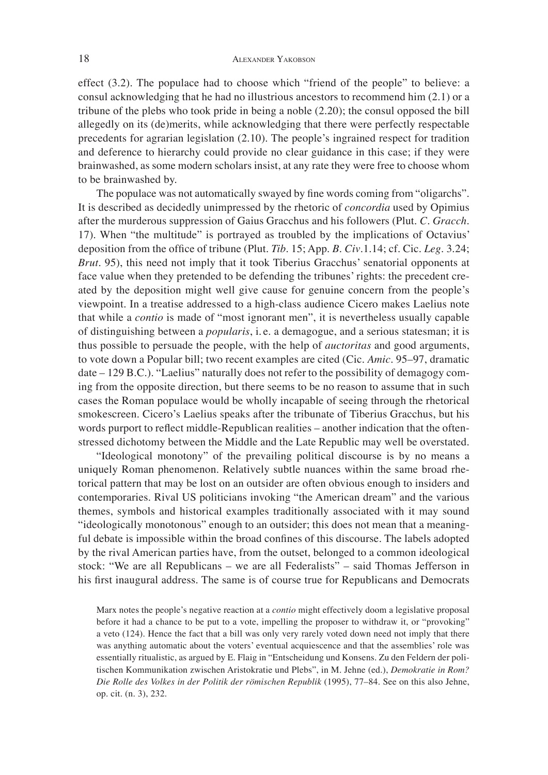effect (3.2). The populace had to choose which "friend of the people" to believe: a consul acknowledging that he had no illustrious ancestors to recommend him (2.1) or a tribune of the plebs who took pride in being a noble (2.20); the consul opposed the bill allegedly on its (de)merits, while acknowledging that there were perfectly respectable precedents for agrarian legislation (2.10). The people's ingrained respect for tradition and deference to hierarchy could provide no clear guidance in this case; if they were brainwashed, as some modern scholars insist, at any rate they were free to choose whom to be brainwashed by.

The populace was not automatically swayed by fine words coming from "oligarchs". It is described as decidedly unimpressed by the rhetoric of *concordia* used by Opimius after the murderous suppression of Gaius Gracchus and his followers (Plut. *C. Gracch*. 17). When "the multitude" is portrayed as troubled by the implications of Octavius' deposition from the office of tribune (Plut. *Tib.* 15; App. *B. Civ.1.14*; cf. Cic. *Leg.* 3.24; *Brut*. 95), this need not imply that it took Tiberius Gracchus' senatorial opponents at face value when they pretended to be defending the tribunes' rights: the precedent created by the deposition might well give cause for genuine concern from the people's viewpoint. In a treatise addressed to a high-class audience Cicero makes Laelius note that while a *contio* is made of "most ignorant men", it is nevertheless usually capable of distinguishing between a *popularis*, i. e. a demagogue, and a serious statesman; it is thus possible to persuade the people, with the help of *auctoritas* and good arguments, to vote down a Popular bill; two recent examples are cited (Cic. *Amic*. 95–97, dramatic date – 129 B.C.). "Laelius" naturally does not refer to the possibility of demagogy coming from the opposite direction, but there seems to be no reason to assume that in such cases the Roman populace would be wholly incapable of seeing through the rhetorical smokescreen. Cicero's Laelius speaks after the tribunate of Tiberius Gracchus, but his words purport to reflect middle-Republican realities – another indication that the oftenstressed dichotomy between the Middle and the Late Republic may well be overstated.

"Ideological monotony" of the prevailing political discourse is by no means a uniquely Roman phenomenon. Relatively subtle nuances within the same broad rhetorical pattern that may be lost on an outsider are often obvious enough to insiders and contemporaries. Rival US politicians invoking "the American dream" and the various themes, symbols and historical examples traditionally associated with it may sound "ideologically monotonous" enough to an outsider; this does not mean that a meaningful debate is impossible within the broad confines of this discourse. The labels adopted by the rival American parties have, from the outset, belonged to a common ideological stock: "We are all Republicans – we are all Federalists" – said Thomas Jefferson in his first inaugural address. The same is of course true for Republicans and Democrats

Marx notes the people's negative reaction at a *contio* might effectively doom a legislative proposal before it had a chance to be put to a vote, impelling the proposer to withdraw it, or "provoking" a veto (124). Hence the fact that a bill was only very rarely voted down need not imply that there was anything automatic about the voters' eventual acquiescence and that the assemblies' role was essentially ritualistic, as argued by E. Flaig in "Entscheidung und Konsens. Zu den Feldern der politischen Kommunikation zwischen Aristokratie und Plebs", in M. Jehne (ed.), *Demokratie in Rom? Die Rolle des Volkes in der Politik der römischen Republik* (1995), 77–84. See on this also Jehne, op. cit. (n. 3), 232.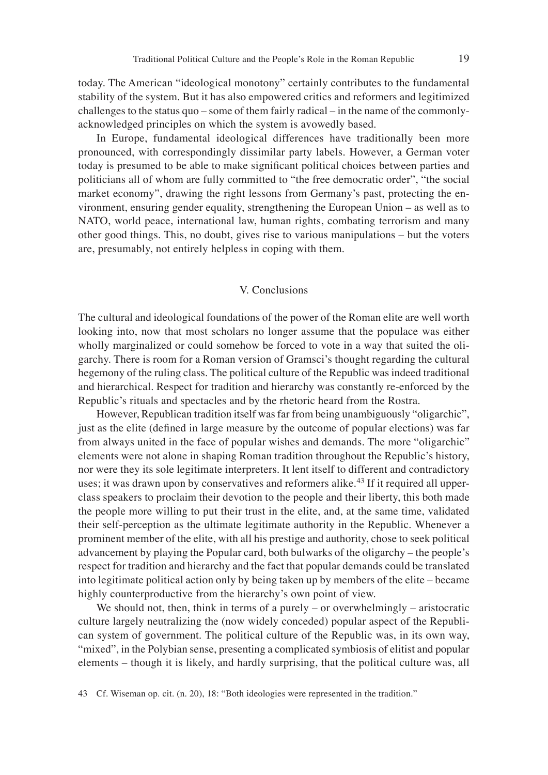today. The American "ideological monotony" certainly contributes to the fundamental stability of the system. But it has also empowered critics and reformers and legitimized challenges to the status quo – some of them fairly radical – in the name of the commonlyacknowledged principles on which the system is avowedly based.

In Europe, fundamental ideological differences have traditionally been more pronounced, with correspondingly dissimilar party labels. However, a German voter today is presumed to be able to make significant political choices between parties and politicians all of whom are fully committed to "the free democratic order", "the social market economy", drawing the right lessons from Germany's past, protecting the environment, ensuring gender equality, strengthening the European Union – as well as to NATO, world peace, international law, human rights, combating terrorism and many other good things. This, no doubt, gives rise to various manipulations – but the voters are, presumably, not entirely helpless in coping with them.

#### V. Conclusions

The cultural and ideological foundations of the power of the Roman elite are well worth looking into, now that most scholars no longer assume that the populace was either wholly marginalized or could somehow be forced to vote in a way that suited the oligarchy. There is room for a Roman version of Gramsci's thought regarding the cultural hegemony of the ruling class. The political culture of the Republic was indeed traditional and hierarchical. Respect for tradition and hierarchy was constantly re-enforced by the Republic's rituals and spectacles and by the rhetoric heard from the Rostra.

However, Republican tradition itself was far from being unambiguously "oligarchic", just as the elite (defined in large measure by the outcome of popular elections) was far from always united in the face of popular wishes and demands. The more "oligarchic" elements were not alone in shaping Roman tradition throughout the Republic's history, nor were they its sole legitimate interpreters. It lent itself to different and contradictory uses; it was drawn upon by conservatives and reformers alike.<sup>43</sup> If it required all upperclass speakers to proclaim their devotion to the people and their liberty, this both made the people more willing to put their trust in the elite, and, at the same time, validated their self-perception as the ultimate legitimate authority in the Republic. Whenever a prominent member of the elite, with all his prestige and authority, chose to seek political advancement by playing the Popular card, both bulwarks of the oligarchy – the people's respect for tradition and hierarchy and the fact that popular demands could be translated into legitimate political action only by being taken up by members of the elite – became highly counterproductive from the hierarchy's own point of view.

We should not, then, think in terms of a purely – or overwhelmingly – aristocratic culture largely neutralizing the (now widely conceded) popular aspect of the Republican system of government. The political culture of the Republic was, in its own way, "mixed", in the Polybian sense, presenting a complicated symbiosis of elitist and popular elements – though it is likely, and hardly surprising, that the political culture was, all

<sup>43</sup> Cf. Wiseman op. cit. (n. 20), 18: "Both ideologies were represented in the tradition."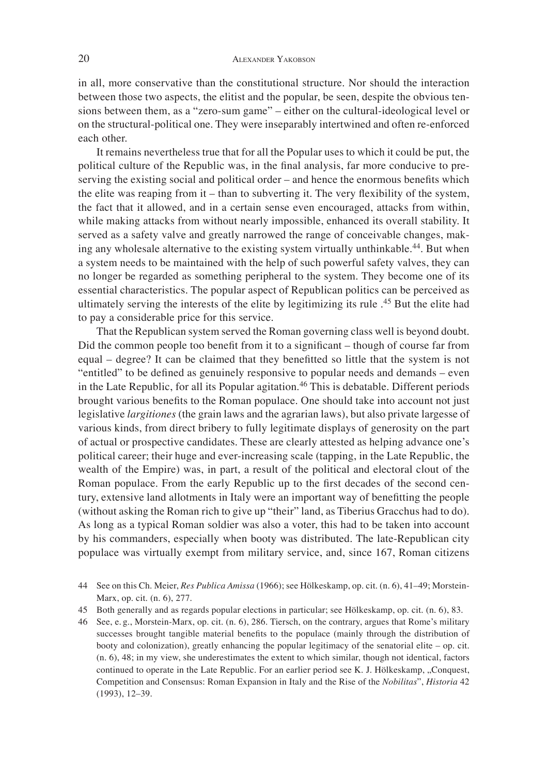in all, more conservative than the constitutional structure. Nor should the interaction between those two aspects, the elitist and the popular, be seen, despite the obvious tensions between them, as a "zero-sum game" – either on the cultural-ideological level or on the structural-political one. They were inseparably intertwined and often re-enforced each other.

It remains nevertheless true that for all the Popular uses to which it could be put, the political culture of the Republic was, in the final analysis, far more conducive to preserving the existing social and political order – and hence the enormous benefits which the elite was reaping from it – than to subverting it. The very flexibility of the system, the fact that it allowed, and in a certain sense even encouraged, attacks from within, while making attacks from without nearly impossible, enhanced its overall stability. It served as a safety valve and greatly narrowed the range of conceivable changes, making any wholesale alternative to the existing system virtually unthinkable.<sup>44</sup>. But when a system needs to be maintained with the help of such powerful safety valves, they can no longer be regarded as something peripheral to the system. They become one of its essential characteristics. The popular aspect of Republican politics can be perceived as ultimately serving the interests of the elite by legitimizing its rule . 45 But the elite had to pay a considerable price for this service.

That the Republican system served the Roman governing class well is beyond doubt. Did the common people too benefit from it to a significant – though of course far from equal – degree? It can be claimed that they benefitted so little that the system is not "entitled" to be defined as genuinely responsive to popular needs and demands – even in the Late Republic, for all its Popular agitation.<sup>46</sup> This is debatable. Different periods brought various benefits to the Roman populace. One should take into account not just legislative *largitiones* (the grain laws and the agrarian laws), but also private largesse of various kinds, from direct bribery to fully legitimate displays of generosity on the part of actual or prospective candidates. These are clearly attested as helping advance one's political career; their huge and ever-increasing scale (tapping, in the Late Republic, the wealth of the Empire) was, in part, a result of the political and electoral clout of the Roman populace. From the early Republic up to the first decades of the second century, extensive land allotments in Italy were an important way of benefitting the people (without asking the Roman rich to give up "their" land, as Tiberius Gracchus had to do). As long as a typical Roman soldier was also a voter, this had to be taken into account by his commanders, especially when booty was distributed. The late-Republican city populace was virtually exempt from military service, and, since 167, Roman citizens

- 45 Both generally and as regards popular elections in particular; see Hölkeskamp, op. cit. (n. 6), 83.
- 46 See, e. g., Morstein-Marx, op. cit. (n. 6), 286. Tiersch, on the contrary, argues that Rome's military successes brought tangible material benefits to the populace (mainly through the distribution of booty and colonization), greatly enhancing the popular legitimacy of the senatorial elite – op. cit. (n. 6), 48; in my view, she underestimates the extent to which similar, though not identical, factors continued to operate in the Late Republic. For an earlier period see K. J. Hölkeskamp, "Conquest, Competition and Consensus: Roman Expansion in Italy and the Rise of the *Nobilitas*", *Historia* 42 (1993), 12–39.

<sup>44</sup> See on this Ch. Meier, *Res Publica Amissa* (1966); see Hölkeskamp, op. cit. (n. 6), 41–49; Morstein-Marx, op. cit. (n. 6), 277.